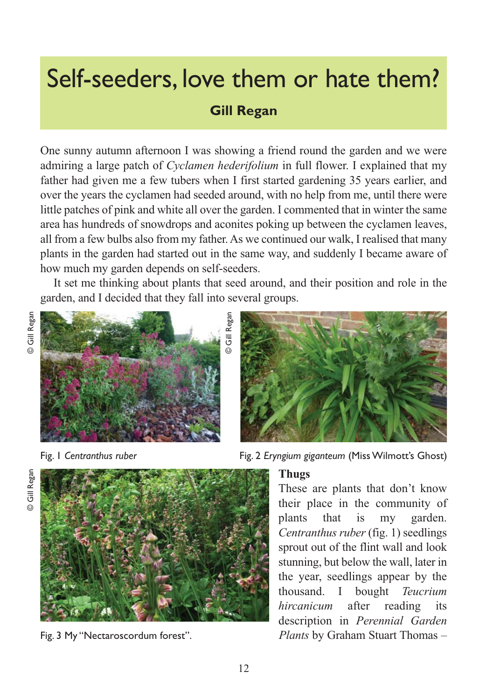# Self-seeders, love them or hate them?

# **Gill Regan**

One sunny autumn afternoon I was showing a friend round the garden and we were admiring a large patch of *Cyclamen hederifolium* in full flower. I explained that my father had given me a few tubers when I first started gardening 35 years earlier, and over the years the cyclamen had seeded around, with no help from me, until there were little patches of pink and white all over the garden. I commented that in winter the same area has hundreds of snowdrops and aconites poking up between the cyclamen leaves, all from a few bulbs also from my father. As we continued our walk, I realised that many plants in the garden had started out in the same way, and suddenly I became aware of how much my garden depends on self-seeders.

It set me thinking about plants that seed around, and their position and role in the garden, and I decided that they fall into several groups.

© Gill Regan

J<br>J

Regan





Gill Regan  $\odot$ 



Fig. 3 My "Nectaroscordum forest".

Fig. 1 *Centranthus ruber* Fig. 2 *Eryngium giganteum* (Miss Wilmott's Ghost)

#### **Thugs**

These are plants that don't know their place in the community of plants that is my garden. *Centranthus ruber* (fig. 1) seedlings sprout out of the flint wall and look stunning, but below the wall, later in the year, seedlings appear by the thousand. I bought *Teucrium hircanicum* after reading its description in *Perennial Garden Plants* by Graham Stuart Thomas –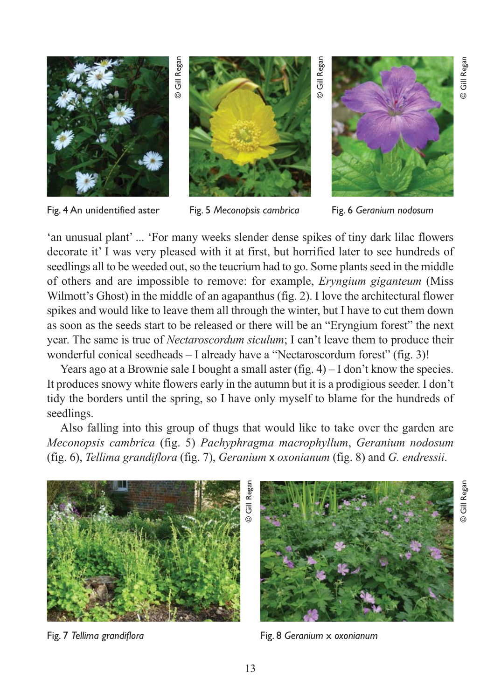

Fig. 4 An unidentified aster

Fig. 5 *Meconopsis cambrica* 



'an unusual plant' ... 'For many weeks slender dense spikes of tiny dark lilac flowers decorate it' I was very pleased with it at first, but horrified later to see hundreds of seedlings all to be weeded out, so the teucrium had to go. Some plants seed in the middle of others and are impossible to remove: for example, *Eryngium giganteum* (Miss Wilmott's Ghost) in the middle of an agapanthus (fig. 2). I love the architectural flower spikes and would like to leave them all through the winter, but I have to cut them down as soon as the seeds start to be released or there will be an "Eryngium forest" the next year. The same is true of *Nectaroscordum siculum*; I can't leave them to produce their wonderful conical seedheads – I already have a "Nectaroscordum forest" (fig. 3)!

Years ago at a Brownie sale I bought a small aster (fig.  $4$ ) – I don't know the species. It produces snowy white flowers early in the autumn but it is a prodigious seeder. I don't tidy the borders until the spring, so I have only myself to blame for the hundreds of seedlings.

Also falling into this group of thugs that would like to take over the garden are *Meconopsis cambrica* (fig. 5) *Pachyphragma macrophyllum*, *Geranium nodosum* (fig. 6), *Tellima grandiflora* (fig. 7), *Geranium* x *oxonianum* (fig. 8) and *G. endressii*.



Fig. 7 *Tellima grandiflora*



Fig. 8 *Geranium* x *oxonianum*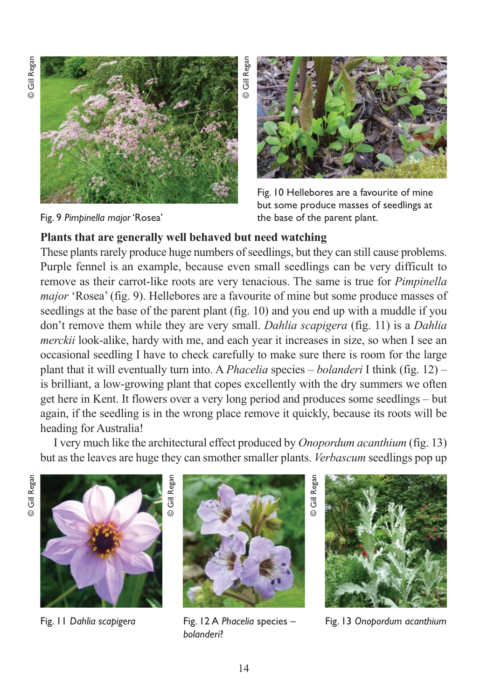© Gill Regan © Gill Regan



Fig. 9 *Pimpinella major* 'Rosea'



Fig. 10 Hellebores are a favourite of mine but some produce masses of seedlings at the base of the parent plant.

#### **Plants that are generally well behaved but need watching**

These plants rarely produce huge numbers of seedlings, but they can still cause problems. Purple fennel is an example, because even small seedlings can be very difficult to remove as their carrot-like roots are very tenacious. The same is true for *Pimpinella major* 'Rosea' (fig. 9). Hellebores are a favourite of mine but some produce masses of seedlings at the base of the parent plant (fig. 10) and you end up with a muddle if you don't remove them while they are very small. *Dahlia scapigera* (fig. 11) is a *Dahlia merckii* look-alike, hardy with me, and each year it increases in size, so when I see an occasional seedling I have to check carefully to make sure there is room for the large plant that it will eventually turn into. A *Phacelia* species – *bolanderi* I think (fig. 12) – is brilliant, a low-growing plant that copes excellently with the dry summers we often get here in Kent. It flowers over a very long period and produces some seedlings – but again, if the seedling is in the wrong place remove it quickly, because its roots will be heading for Australia!

I very much like the architectural effect produced by *Onopordum acanthium* (fig. 13) but as the leaves are huge they can smother smaller plants. *Verbascum* seedlings pop up



Fig. 11 *Dahlia scapigera*



Fig. 12 A *Phacelia* species – *bolanderi*?

Fig. 13 *Onopordum acanthium*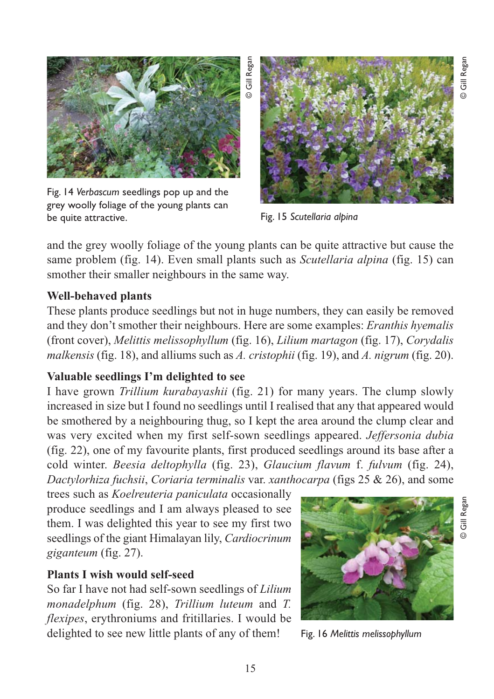

Fig. 14 *Verbascum* seedlings pop up and the grey woolly foliage of the young plants can be quite attractive.



Fig. 15 *Scutellaria alpina*

and the grey woolly foliage of the young plants can be quite attractive but cause the same problem (fig. 14). Even small plants such as *Scutellaria alpina* (fig. 15) can smother their smaller neighbours in the same way.

## **Well-behaved plants**

These plants produce seedlings but not in huge numbers, they can easily be removed and they don't smother their neighbours. Here are some examples: *Eranthis hyemalis* (front cover), *Melittis melissophyllum* (fig. 16), *Lilium martagon* (fig. 17), *Corydalis malkensis* (fig. 18), and alliums such as *A. cristophii* (fig. 19), and *A. nigrum* (fig. 20).

## **Valuable seedlings I'm delighted to see**

I have grown *Trillium kurabayashii* (fig. 21) for many years. The clump slowly increased in size but I found no seedlings until I realised that any that appeared would be smothered by a neighbouring thug, so I kept the area around the clump clear and was very excited when my first self-sown seedlings appeared. *Jeffersonia dubia* (fig. 22), one of my favourite plants, first produced seedlings around its base after a cold winter. *Beesia deltophylla* (fig. 23), *Glaucium flavum* f. *fulvum* (fig. 24), *Dactylorhiza fuchsii*, *Coriaria terminalis* var. *xanthocarpa* (figs 25 & 26), and some

trees such as *Koelreuteria paniculata* occasionally produce seedlings and I am always pleased to see them. I was delighted this year to see my first two seedlings of the giant Himalayan lily, *Cardiocrinum giganteum* (fig. 27).

## **Plants I wish would self-seed**

So far I have not had self-sown seedlings of *Lilium monadelphum* (fig. 28), *Trillium luteum* and *T. flexipes*, erythroniums and fritillaries. I would be delighted to see new little plants of any of them!



Fig. 16 *Melittis melissophyllum*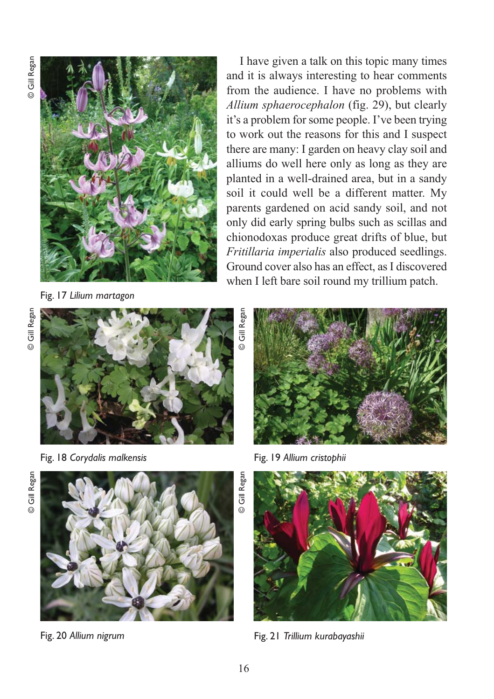

Fig. 17 *Lilium martagon*

© Gill Regan © Gill Regan



Fig. 18 *Corydalis malkensis*





I have given a talk on this topic many times and it is always interesting to hear comments from the audience. I have no problems with *Allium sphaerocephalon* (fig. 29), but clearly it's a problem for some people. I've been trying to work out the reasons for this and I suspect there are many: I garden on heavy clay soil and alliums do well here only as long as they are planted in a well-drained area, but in a sandy soil it could well be a different matter. My parents gardened on acid sandy soil, and not

Fig. 19 *Allium cristophii*





Fig. 20 *Allium nigrum*



Fig. 21 *Trillium kurabayashii*

Ġ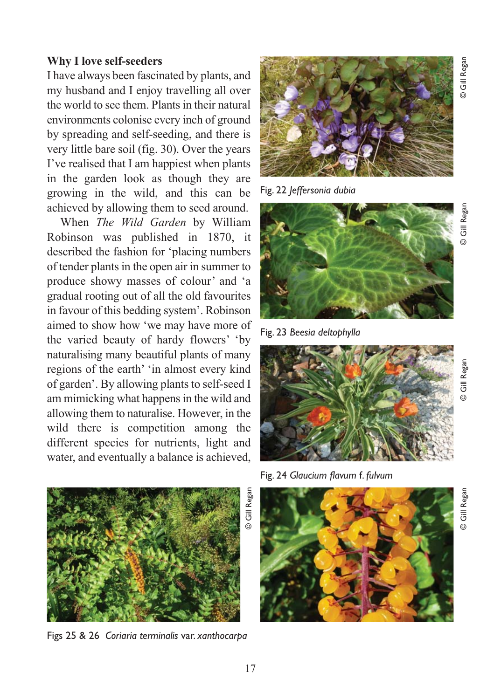#### **Why I love self-seeders**

I have always been fascinated by plants, and my husband and I enjoy travelling all over the world to see them. Plants in their natural environments colonise every inch of ground by spreading and self-seeding, and there is very little bare soil (fig. 30). Over the years I've realised that I am happiest when plants in the garden look as though they are growing in the wild, and this can be achieved by allowing them to seed around.

When *The Wild Garden* by William Robinson was published in 1870, it described the fashion for 'placing numbers of tender plants in the open air in summer to produce showy masses of colour' and 'a gradual rooting out of all the old favourites in favour of this bedding system'. Robinson aimed to show how 'we may have more of the varied beauty of hardy flowers' 'by naturalising many beautiful plants of many regions of the earth' 'in almost every kind of garden'. By allowing plants to self-seed I am mimicking what happens in the wild and allowing them to naturalise. However, in the wild there is competition among the different species for nutrients, light and water, and eventually a balance is achieved,



Figs 25 & 26 *Coriaria terminalis* var. *xanthocarpa*



Fig. 22 *Jeffersonia dubia*



Fig. 23 *Beesia deltophylla*



Fig. 24 *Glaucium flavum* f. *fulvum*